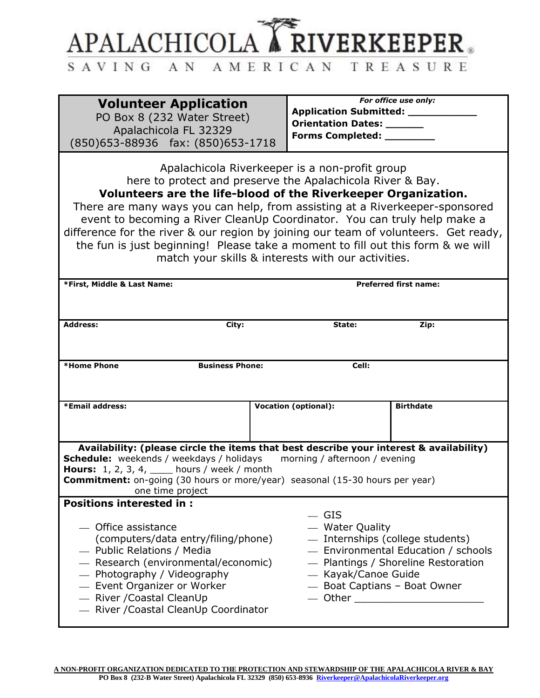

## SAVING AN AMERICAN TREASURE

| <b>Volunteer Application</b><br>PO Box 8 (232 Water Street)<br>Apalachicola FL 32329<br>(850)653-88936 fax: (850)653-1718                                                                                                                                                                                                                                                                                                                                                                                                                                                 | <b>Application Submitted:</b><br>Orientation Dates: ______<br>Forms Completed: ________                               | For office use only:                                                       |
|---------------------------------------------------------------------------------------------------------------------------------------------------------------------------------------------------------------------------------------------------------------------------------------------------------------------------------------------------------------------------------------------------------------------------------------------------------------------------------------------------------------------------------------------------------------------------|-----------------------------------------------------------------------------------------------------------------------|----------------------------------------------------------------------------|
| Apalachicola Riverkeeper is a non-profit group<br>here to protect and preserve the Apalachicola River & Bay.<br>Volunteers are the life-blood of the Riverkeeper Organization.<br>There are many ways you can help, from assisting at a Riverkeeper-sponsored<br>event to becoming a River CleanUp Coordinator. You can truly help make a<br>difference for the river & our region by joining our team of volunteers. Get ready,<br>the fun is just beginning! Please take a moment to fill out this form & we will<br>match your skills & interests with our activities. |                                                                                                                       |                                                                            |
| <b>Preferred first name:</b><br>*First, Middle & Last Name:                                                                                                                                                                                                                                                                                                                                                                                                                                                                                                               |                                                                                                                       |                                                                            |
| <b>Address:</b><br>City:                                                                                                                                                                                                                                                                                                                                                                                                                                                                                                                                                  | State:                                                                                                                | Zip:                                                                       |
| *Home Phone<br><b>Business Phone:</b><br>Cell:                                                                                                                                                                                                                                                                                                                                                                                                                                                                                                                            |                                                                                                                       |                                                                            |
| *Email address:                                                                                                                                                                                                                                                                                                                                                                                                                                                                                                                                                           | <b>Vocation (optional):</b>                                                                                           | <b>Birthdate</b>                                                           |
| Availability: (please circle the items that best describe your interest & availability)<br>Schedule: weekends / weekdays / holidays<br>morning / afternoon / evening<br><b>Hours:</b> 1, 2, 3, 4, ____ hours / week / month<br><b>Commitment:</b> on-going (30 hours or more/year) seasonal (15-30 hours per year)<br>one time project                                                                                                                                                                                                                                    |                                                                                                                       |                                                                            |
| <b>Positions interested in:</b><br>- Office assistance<br>(computers/data entry/filing/phone)<br>- Public Relations / Media<br>- Research (environmental/economic)<br>— Photography / Videography<br>- Event Organizer or Worker<br>- River / Coastal Clean Up<br>- River / Coastal Clean Up Coordinator                                                                                                                                                                                                                                                                  | $-$ GIS<br>- Water Quality<br>- Internships (college students)<br>— Kayak/Canoe Guide<br>- Boat Captians - Boat Owner | - Environmental Education / schools<br>- Plantings / Shoreline Restoration |